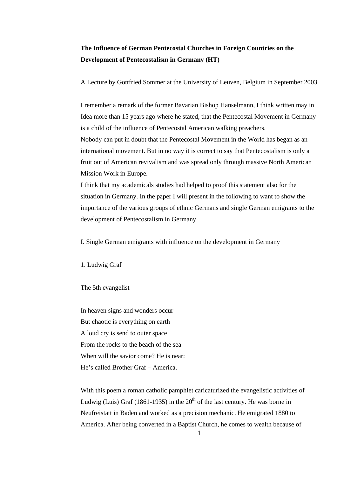# **The Influence of German Pentecostal Churches in Foreign Countries on the Development of Pentecostalism in Germany (HT)**

A Lecture by Gottfried Sommer at the University of Leuven, Belgium in September 2003

I remember a remark of the former Bavarian Bishop Hanselmann, I think written may in Idea more than 15 years ago where he stated, that the Pentecostal Movement in Germany is a child of the influence of Pentecostal American walking preachers.

Nobody can put in doubt that the Pentecostal Movement in the World has began as an international movement. But in no way it is correct to say that Pentecostalism is only a fruit out of American revivalism and was spread only through massive North American Mission Work in Europe.

I think that my academicals studies had helped to proof this statement also for the situation in Germany. In the paper I will present in the following to want to show the importance of the various groups of ethnic Germans and single German emigrants to the development of Pentecostalism in Germany.

I. Single German emigrants with influence on the development in Germany

1. Ludwig Graf

The 5th evangelist

In heaven signs and wonders occur But chaotic is everything on earth A loud cry is send to outer space From the rocks to the beach of the sea When will the savior come? He is near: He's called Brother Graf – America.

With this poem a roman catholic pamphlet caricaturized the evangelistic activities of Ludwig (Luis) Graf (1861-1935) in the  $20<sup>th</sup>$  of the last century. He was borne in Neufreistatt in Baden and worked as a precision mechanic. He emigrated 1880 to America. After being converted in a Baptist Church, he comes to wealth because of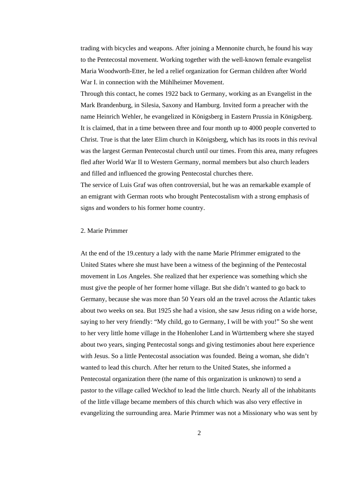trading with bicycles and weapons. After joining a Mennonite church, he found his way to the Pentecostal movement. Working together with the well-known female evangelist Maria Woodworth-Etter, he led a relief organization for German children after World War I. in connection with the Mühlheimer Movement.

Through this contact, he comes 1922 back to Germany, working as an Evangelist in the Mark Brandenburg, in Silesia, Saxony and Hamburg. Invited form a preacher with the name Heinrich Wehler, he evangelized in Königsberg in Eastern Prussia in Königsberg. It is claimed, that in a time between three and four month up to 4000 people converted to Christ. True is that the later Elim church in Königsberg, which has its roots in this revival was the largest German Pentecostal church until our times. From this area, many refugees fled after World War II to Western Germany, normal members but also church leaders and filled and influenced the growing Pentecostal churches there.

The service of Luis Graf was often controversial, but he was an remarkable example of an emigrant with German roots who brought Pentecostalism with a strong emphasis of signs and wonders to his former home country.

## 2. Marie Primmer

At the end of the 19.century a lady with the name Marie Pfrimmer emigrated to the United States where she must have been a witness of the beginning of the Pentecostal movement in Los Angeles. She realized that her experience was something which she must give the people of her former home village. But she didn't wanted to go back to Germany, because she was more than 50 Years old an the travel across the Atlantic takes about two weeks on sea. But 1925 she had a vision, she saw Jesus riding on a wide horse, saying to her very friendly: "My child, go to Germany, I will be with you!" So she went to her very little home village in the Hohenloher Land in Württemberg where she stayed about two years, singing Pentecostal songs and giving testimonies about here experience with Jesus. So a little Pentecostal association was founded. Being a woman, she didn't wanted to lead this church. After her return to the United States, she informed a Pentecostal organization there (the name of this organization is unknown) to send a pastor to the village called Weckhof to lead the little church. Nearly all of the inhabitants of the little village became members of this church which was also very effective in evangelizing the surrounding area. Marie Primmer was not a Missionary who was sent by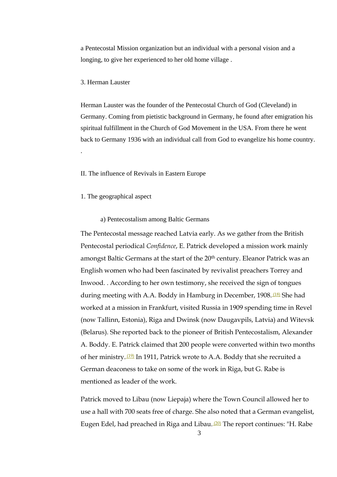a Pentecostal Mission organization but an individual with a personal vision and a longing, to give her experienced to her old home village .

#### 3. Herman Lauster

.

Herman Lauster was the founder of the Pentecostal Church of God (Cleveland) in Germany. Coming from pietistic background in Germany, he found after emigration his spiritual fulfillment in the Church of God Movement in the USA. From there he went back to Germany 1936 with an individual call from God to evangelize his home country.

#### II. The influence of Revivals in Eastern Europe

1. The geographical aspect

#### a) Pentecostalism among Baltic Germans

The Pentecostal message reached Latvia early. As we gather from the British Pentecostal periodical *Confidence*, E. Patrick developed a mission work mainly amongst Baltic Germans at the start of the 20<sup>th</sup> century. Eleanor Patrick was an English women who had been fascinated by revivalist preachers Torrey and Inwood. . According to her own testimony, she received the sign of tongues during meeting with A.A. Boddy in Hamburg in December, 1908. <sup>(18)</sup> She had worked at a mission in Frankfurt, visited Russia in 1909 spending time in Revel (now Tallinn, Estonia), Riga and Dwinsk (now Daugavpils, Latvia) and Witevsk (Belarus). She reported back to the pioneer of British Pentecostalism, Alexander A. Boddy. E. Patrick claimed that 200 people were converted within two months of her ministry. (19) In 1911, Patrick wrote to A.A. Boddy that she recruited a German deaconess to take on some of the work in Riga, but G. Rabe is mentioned as leader of the work.

Patrick moved to Libau (now Liepaja) where the Town Council allowed her to use a hall with 700 seats free of charge. She also noted that a German evangelist, Eugen Edel, had preached in Riga and Libau.<sup>(20)</sup> The report continues: "H. Rabe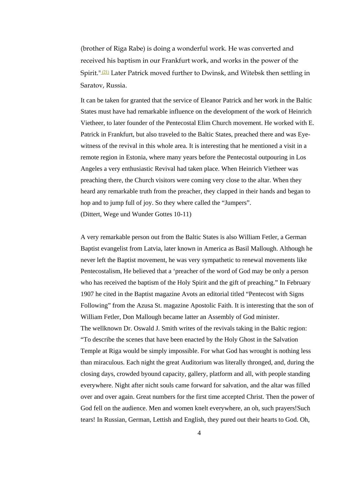(brother of Riga Rabe) is doing a wonderful work. He was converted and received his baptism in our Frankfurt work, and works in the power of the Spirit." (21) Later Patrick moved further to Dwinsk, and Witebsk then settling in Saratov, Russia.

It can be taken for granted that the service of Eleanor Patrick and her work in the Baltic States must have had remarkable influence on the development of the work of Heinrich Vietheer, to later founder of the Pentecostal Elim Church movement. He worked with E. Patrick in Frankfurt, but also traveled to the Baltic States, preached there and was Eyewitness of the revival in this whole area. It is interesting that he mentioned a visit in a remote region in Estonia, where many years before the Pentecostal outpouring in Los Angeles a very enthusiastic Revival had taken place. When Heinrich Vietheer was preaching there, the Church visitors were coming very close to the altar. When they heard any remarkable truth from the preacher, they clapped in their hands and began to hop and to jump full of joy. So they where called the "Jumpers". (Dittert, Wege und Wunder Gottes 10-11)

A very remarkable person out from the Baltic States is also William Fetler, a German Baptist evangelist from Latvia, later known in America as Basil Mallough. Although he never left the Baptist movement, he was very sympathetic to renewal movements like Pentecostalism, He believed that a 'preacher of the word of God may be only a person who has received the baptism of the Holy Spirit and the gift of preaching." In February 1907 he cited in the Baptist magazine Avots an editorial titled "Pentecost with Signs Following" from the Azusa St. magazine Apostolic Faith. It is interesting that the son of William Fetler, Don Mallough became latter an Assembly of God minister. The wellknown Dr. Oswald J. Smith writes of the revivals taking in the Baltic region: "To describe the scenes that have been enacted by the Holy Ghost in the Salvation Temple at Riga would be simply impossible. For what God has wrought is nothing less than miraculous. Each night the great Auditorium was literally thronged, and, during the closing days, crowded byound capacity, gallery, platform and all, with people standing everywhere. Night after nicht souls came forward for salvation, and the altar was filled over and over again. Great numbers for the first time accepted Christ. Then the power of God fell on the audience. Men and women knelt everywhere, an oh, such prayers!Such tears! In Russian, German, Lettish and English, they pured out their hearts to God. Oh,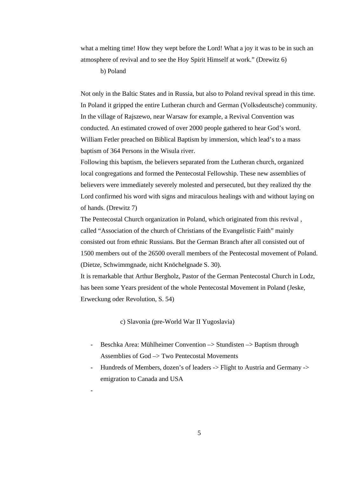what a melting time! How they wept before the Lord! What a joy it was to be in such an atmosphere of revival and to see the Hoy Spirit Himself at work." (Drewitz 6)

b) Poland

-

Not only in the Baltic States and in Russia, but also to Poland revival spread in this time. In Poland it gripped the entire Lutheran church and German (Volksdeutsche) community. In the village of Rajszewo, near Warsaw for example, a Revival Convention was conducted. An estimated crowed of over 2000 people gathered to hear God's word. William Fetler preached on Biblical Baptism by immersion, which lead's to a mass baptism of 364 Persons in the Wisula river.

Following this baptism, the believers separated from the Lutheran church, organized local congregations and formed the Pentecostal Fellowship. These new assemblies of believers were immediately severely molested and persecuted, but they realized thy the Lord confirmed his word with signs and miraculous healings with and without laying on of hands. (Drewitz 7)

The Pentecostal Church organization in Poland, which originated from this revival , called "Association of the church of Christians of the Evangelistic Faith" mainly consisted out from ethnic Russians. But the German Branch after all consisted out of 1500 members out of the 26500 overall members of the Pentecostal movement of Poland. (Dietze, Schwimmgnade, nicht Knöchelgnade S. 30).

It is remarkable that Arthur Bergholz, Pastor of the German Pentecostal Church in Lodz, has been some Years president of the whole Pentecostal Movement in Poland (Jeske, Erweckung oder Revolution, S. 54)

c) Slavonia (pre-World War II Yugoslavia)

- Beschka Area: Mühlheimer Convention –> Stundisten –> Baptism through Assemblies of God –> Two Pentecostal Movements
- Hundreds of Members, dozen's of leaders -> Flight to Austria and Germany -> emigration to Canada and USA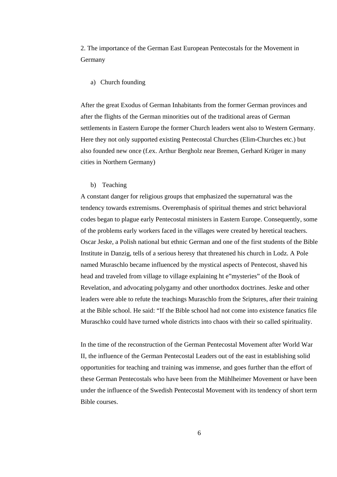2. The importance of the German East European Pentecostals for the Movement in Germany

#### a) Church founding

After the great Exodus of German Inhabitants from the former German provinces and after the flights of the German minorities out of the traditional areas of German settlements in Eastern Europe the former Church leaders went also to Western Germany. Here they not only supported existing Pentecostal Churches (Elim-Churches etc.) but also founded new once (f.ex. Arthur Bergholz near Bremen, Gerhard Krüger in many cities in Northern Germany)

## b) Teaching

A constant danger for religious groups that emphasized the supernatural was the tendency towards extremisms. Overemphasis of spiritual themes and strict behavioral codes began to plague early Pentecostal ministers in Eastern Europe. Consequently, some of the problems early workers faced in the villages were created by heretical teachers. Oscar Jeske, a Polish national but ethnic German and one of the first students of the Bible Institute in Danzig, tells of a serious heresy that threatened his church in Lodz. A Pole named Muraschlo became influenced by the mystical aspects of Pentecost, shaved his head and traveled from village to village explaining ht e"mysteries" of the Book of Revelation, and advocating polygamy and other unorthodox doctrines. Jeske and other leaders were able to refute the teachings Muraschlo from the Sriptures, after their training at the Bible school. He said: "If the Bible school had not come into existence fanatics file Muraschko could have turned whole districts into chaos with their so called spirituality.

In the time of the reconstruction of the German Pentecostal Movement after World War II, the influence of the German Pentecostal Leaders out of the east in establishing solid opportunities for teaching and training was immense, and goes further than the effort of these German Pentecostals who have been from the Mühlheimer Movement or have been under the influence of the Swedish Pentecostal Movement with its tendency of short term Bible courses.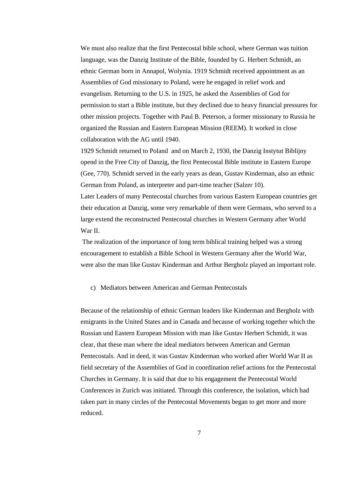We must also realize that the first Pentecostal bible school, where German was tuition language, was the Danzig Institute of the Bible, founded by G. Herbert Schmidt, an ethnic German born in Annapol, Wolynia. 1919 Schmidt received appointment as an Assemblies of God missionary to Poland, were he engaged in relief work and evangelism. Returning to the U.S. in 1925, he asked the Assemblies of God for permission to start a Bible institute, but they declined due to heavy financial pressures for other mission projects. Together with Paul B. Peterson, a former missionary to Russia he organized the Russian and Eastern European Mission (REEM). It worked in close collaboration with the AG until 1940.

1929 Schmidt returned to Poland and on March 2, 1930, the Danzig Instytut Biblijny opend in the Free City of Danzig, the first Pentecostal Bible institute in Eastern Europe (Gee, 770). Schmidt served in the early years as dean, Gustav Kinderman, also an ethnic German from Poland, as interpreter and part-time teacher (Salzer 10). Later Leaders of many Pentecostal churches from various Eastern European countries get their education at Danzig, some very remarkable of them were Germans, who served to a large extend the reconstructed Pentecostal churches in Western Germany after World War II.

 The realization of the importance of long term biblical training helped was a strong encouragement to establish a Bible School in Western Germany after the World War, were also the man like Gustav Kinderman and Arthur Bergholz played an important role.

## c) Mediators between American and German Pentecostals

Because of the relationship of ethnic German leaders like Kinderman and Bergholz with emigrants in the United States and in Canada and because of working together which the Russian und Eastern European Mission with man like Gustav Herbert Schmidt, it was clear, that these man where the ideal mediators between American and German Pentecostals. And in deed, it was Gustav Kinderman who worked after World War II as field secretary of the Assemblies of God in coordination relief actions for the Pentecostal Churches in Germany. It is said that due to his engagement the Pentecostal World Conferences in Zurich was initiated. Through this conference, the isolation, which had taken part in many circles of the Pentecostal Movements began to get more and more reduced.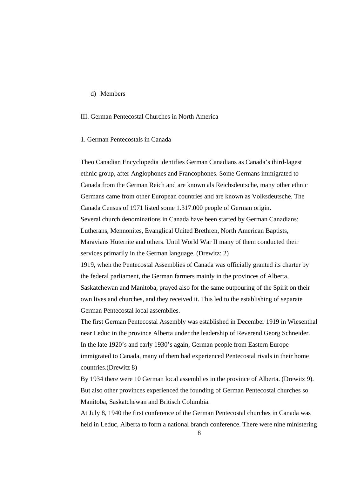#### d) Members

# III. German Pentecostal Churches in North America

## 1. German Pentecostals in Canada

Theo Canadian Encyclopedia identifies German Canadians as Canada's third-lagest ethnic group, after Anglophones and Francophones. Some Germans immigrated to Canada from the German Reich and are known als Reichsdeutsche, many other ethnic Germans came from other European countries and are known as Volksdeutsche. The Canada Census of 1971 listed some 1.317.000 people of German origin. Several church denominations in Canada have been started by German Canadians: Lutherans, Mennonites, Evanglical United Brethren, North American Baptists, Maravians Huterrite and others. Until World War II many of them conducted their services primarily in the German language. (Drewitz: 2)

1919, when the Pentecostal Assemblies of Canada was officially granted its charter by the federal parliament, the German farmers mainly in the provinces of Alberta, Saskatchewan and Manitoba, prayed also for the same outpouring of the Spirit on their own lives and churches, and they received it. This led to the establishing of separate German Pentecostal local assemblies.

The first German Pentecostal Assembly was established in December 1919 in Wiesenthal near Leduc in the province Alberta under the leadership of Reverend Georg Schneider. In the late 1920's and early 1930's again, German people from Eastern Europe immigrated to Canada, many of them had experienced Pentecostal rivals in their home countries.(Drewitz 8)

By 1934 there were 10 German local assemblies in the province of Alberta. (Drewitz 9). But also other provinces experienced the founding of German Pentecostal churches so Manitoba, Saskatchewan and Britisch Columbia.

At July 8, 1940 the first conference of the German Pentecostal churches in Canada was held in Leduc, Alberta to form a national branch conference. There were nine ministering